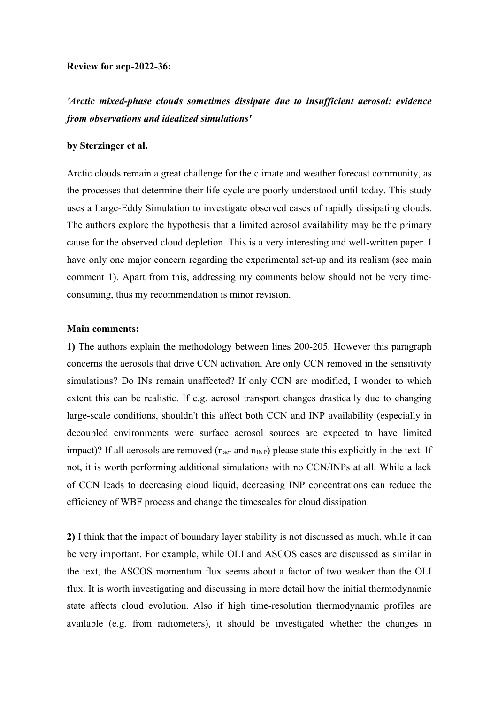## **Review for acp-2022-36:**

*'Arctic mixed-phase clouds sometimes dissipate due to insufficient aerosol: evidence from observations and idealized simulations'*

## **by Sterzinger et al.**

Arctic clouds remain a great challenge for the climate and weather forecast community, as the processes that determine their life-cycle are poorly understood until today. This study uses a Large-Eddy Simulation to investigate observed cases of rapidly dissipating clouds. The authors explore the hypothesis that a limited aerosol availability may be the primary cause for the observed cloud depletion. This is a very interesting and well-written paper. I have only one major concern regarding the experimental set-up and its realism (see main comment 1). Apart from this, addressing my comments below should not be very timeconsuming, thus my recommendation is minor revision.

## **Main comments:**

**1)** The authors explain the methodology between lines 200-205. However this paragraph concerns the aerosols that drive CCN activation. Are only CCN removed in the sensitivity simulations? Do INs remain unaffected? If only CCN are modified, I wonder to which extent this can be realistic. If e.g. aerosol transport changes drastically due to changing large-scale conditions, shouldn't this affect both CCN and INP availability (especially in decoupled environments were surface aerosol sources are expected to have limited impact)? If all aerosols are removed  $(n_{\text{aer}}$  and  $n_{\text{INP}})$  please state this explicitly in the text. If not, it is worth performing additional simulations with no CCN/INPs at all. While a lack of CCN leads to decreasing cloud liquid, decreasing INP concentrations can reduce the efficiency of WBF process and change the timescales for cloud dissipation.

**2)** I think that the impact of boundary layer stability is not discussed as much, while it can be very important. For example, while OLI and ASCOS cases are discussed as similar in the text, the ASCOS momentum flux seems about a factor of two weaker than the OLI flux. It is worth investigating and discussing in more detail how the initial thermodynamic state affects cloud evolution. Also if high time-resolution thermodynamic profiles are available (e.g. from radiometers), it should be investigated whether the changes in